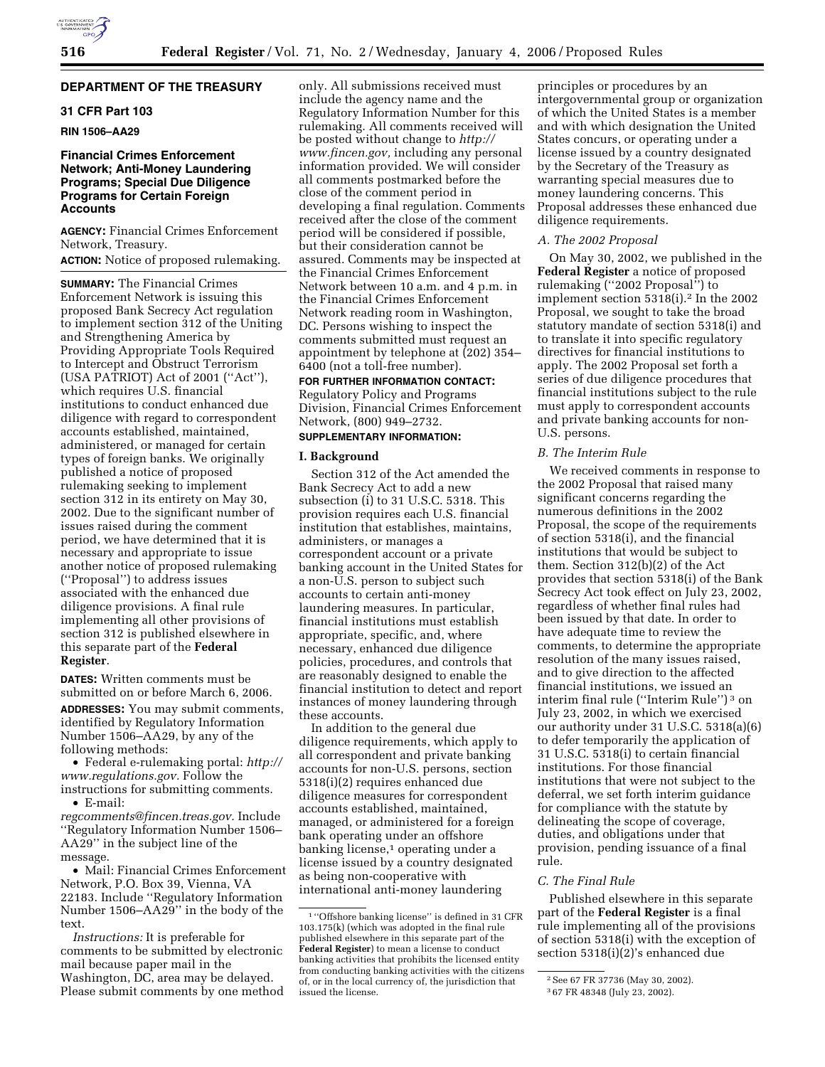# **DEPARTMENT OF THE TREASURY**

# **31 CFR Part 103**

# **RIN 1506–AA29**

# **Financial Crimes Enforcement Network; Anti-Money Laundering Programs; Special Due Diligence Programs for Certain Foreign Accounts**

**AGENCY:** Financial Crimes Enforcement Network, Treasury.

# **ACTION:** Notice of proposed rulemaking.

**SUMMARY:** The Financial Crimes Enforcement Network is issuing this proposed Bank Secrecy Act regulation to implement section 312 of the Uniting and Strengthening America by Providing Appropriate Tools Required to Intercept and Obstruct Terrorism (USA PATRIOT) Act of 2001 (''Act''), which requires U.S. financial institutions to conduct enhanced due diligence with regard to correspondent accounts established, maintained, administered, or managed for certain types of foreign banks. We originally published a notice of proposed rulemaking seeking to implement section 312 in its entirety on May 30, 2002. Due to the significant number of issues raised during the comment period, we have determined that it is necessary and appropriate to issue another notice of proposed rulemaking (''Proposal'') to address issues associated with the enhanced due diligence provisions. A final rule implementing all other provisions of section 312 is published elsewhere in this separate part of the **Federal Register**.

**DATES:** Written comments must be submitted on or before March 6, 2006.

**ADDRESSES:** You may submit comments, identified by Regulatory Information Number 1506–AA29, by any of the following methods:

• Federal e-rulemaking portal: *http:// www.regulations.gov.* Follow the instructions for submitting comments. • E-mail:

*regcomments@fincen.treas.gov.* Include ''Regulatory Information Number 1506– AA29'' in the subject line of the message.

• Mail: Financial Crimes Enforcement Network, P.O. Box 39, Vienna, VA 22183. Include ''Regulatory Information Number 1506–AA29'' in the body of the text.

*Instructions:* It is preferable for comments to be submitted by electronic mail because paper mail in the Washington, DC, area may be delayed. Please submit comments by one method

only. All submissions received must include the agency name and the Regulatory Information Number for this rulemaking. All comments received will be posted without change to *http:// www.fincen.gov,* including any personal information provided. We will consider all comments postmarked before the close of the comment period in developing a final regulation. Comments received after the close of the comment period will be considered if possible, but their consideration cannot be assured. Comments may be inspected at the Financial Crimes Enforcement Network between 10 a.m. and 4 p.m. in the Financial Crimes Enforcement Network reading room in Washington, DC. Persons wishing to inspect the comments submitted must request an appointment by telephone at (202) 354– 6400 (not a toll-free number).

# **FOR FURTHER INFORMATION CONTACT:**

Regulatory Policy and Programs Division, Financial Crimes Enforcement Network, (800) 949–2732.

# **SUPPLEMENTARY INFORMATION:**

### **I. Background**

Section 312 of the Act amended the Bank Secrecy Act to add a new subsection (i) to 31 U.S.C. 5318. This provision requires each U.S. financial institution that establishes, maintains, administers, or manages a correspondent account or a private banking account in the United States for a non-U.S. person to subject such accounts to certain anti-money laundering measures. In particular, financial institutions must establish appropriate, specific, and, where necessary, enhanced due diligence policies, procedures, and controls that are reasonably designed to enable the financial institution to detect and report instances of money laundering through these accounts.

In addition to the general due diligence requirements, which apply to all correspondent and private banking accounts for non-U.S. persons, section 5318(i)(2) requires enhanced due diligence measures for correspondent accounts established, maintained, managed, or administered for a foreign bank operating under an offshore banking license,<sup>1</sup> operating under a license issued by a country designated as being non-cooperative with international anti-money laundering

principles or procedures by an intergovernmental group or organization of which the United States is a member and with which designation the United States concurs, or operating under a license issued by a country designated by the Secretary of the Treasury as warranting special measures due to money laundering concerns. This Proposal addresses these enhanced due diligence requirements.

#### *A. The 2002 Proposal*

On May 30, 2002, we published in the **Federal Register** a notice of proposed rulemaking (''2002 Proposal'') to implement section  $5318(i).^2$  In the 2002 Proposal, we sought to take the broad statutory mandate of section 5318(i) and to translate it into specific regulatory directives for financial institutions to apply. The 2002 Proposal set forth a series of due diligence procedures that financial institutions subject to the rule must apply to correspondent accounts and private banking accounts for non-U.S. persons.

# *B. The Interim Rule*

We received comments in response to the 2002 Proposal that raised many significant concerns regarding the numerous definitions in the 2002 Proposal, the scope of the requirements of section 5318(i), and the financial institutions that would be subject to them. Section 312(b)(2) of the Act provides that section 5318(i) of the Bank Secrecy Act took effect on July 23, 2002, regardless of whether final rules had been issued by that date. In order to have adequate time to review the comments, to determine the appropriate resolution of the many issues raised, and to give direction to the affected financial institutions, we issued an interim final rule (''Interim Rule'') 3 on July 23, 2002, in which we exercised our authority under 31 U.S.C. 5318(a)(6) to defer temporarily the application of 31 U.S.C. 5318(i) to certain financial institutions. For those financial institutions that were not subject to the deferral, we set forth interim guidance for compliance with the statute by delineating the scope of coverage, duties, and obligations under that provision, pending issuance of a final rule.

### *C. The Final Rule*

Published elsewhere in this separate part of the **Federal Register** is a final rule implementing all of the provisions of section 5318(i) with the exception of section 5318(i)(2)'s enhanced due

<sup>1</sup> ''Offshore banking license'' is defined in 31 CFR 103.175(k) (which was adopted in the final rule published elsewhere in this separate part of the **Federal Register**) to mean a license to conduct banking activities that prohibits the licensed entity from conducting banking activities with the citizens of, or in the local currency of, the jurisdiction that issued the license.

<sup>2</sup>See 67 FR 37736 (May 30, 2002).

<sup>3</sup> 67 FR 48348 (July 23, 2002).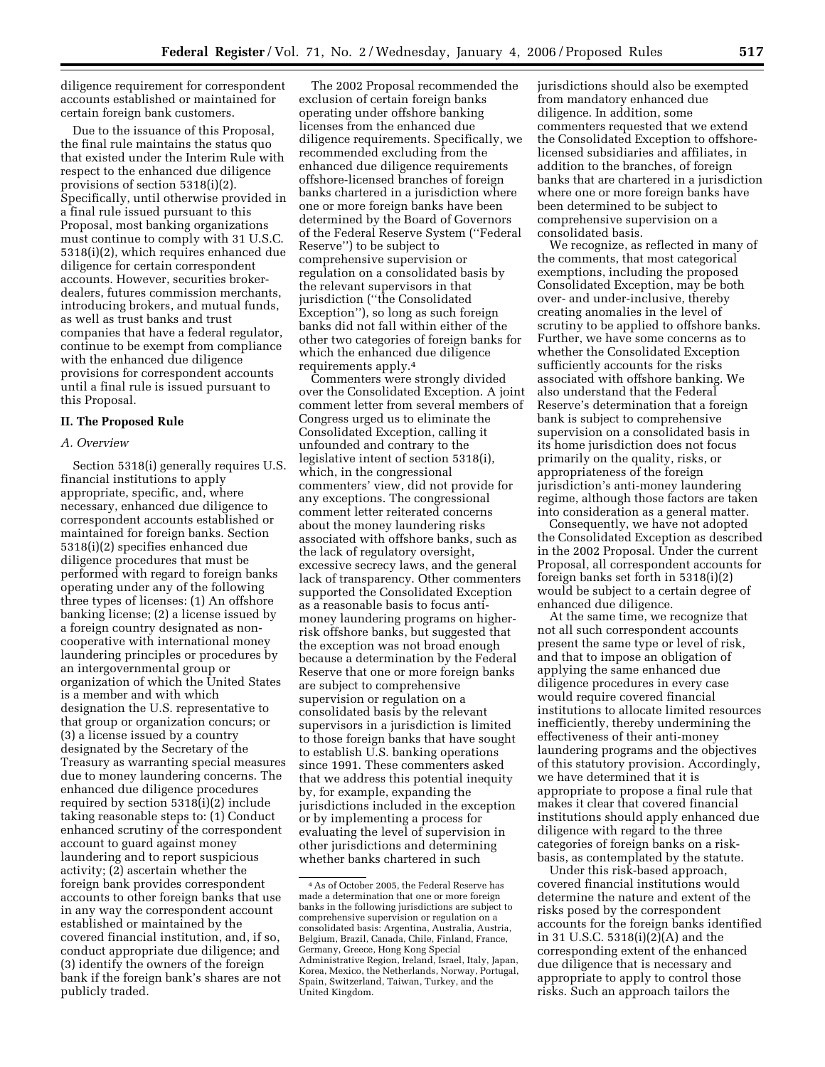diligence requirement for correspondent accounts established or maintained for certain foreign bank customers.

Due to the issuance of this Proposal, the final rule maintains the status quo that existed under the Interim Rule with respect to the enhanced due diligence provisions of section 5318(i)(2). Specifically, until otherwise provided in a final rule issued pursuant to this Proposal, most banking organizations must continue to comply with 31 U.S.C. 5318(i)(2), which requires enhanced due diligence for certain correspondent accounts. However, securities brokerdealers, futures commission merchants, introducing brokers, and mutual funds, as well as trust banks and trust companies that have a federal regulator, continue to be exempt from compliance with the enhanced due diligence provisions for correspondent accounts until a final rule is issued pursuant to this Proposal.

#### **II. The Proposed Rule**

#### *A. Overview*

Section 5318(i) generally requires U.S. financial institutions to apply appropriate, specific, and, where necessary, enhanced due diligence to correspondent accounts established or maintained for foreign banks. Section 5318(i)(2) specifies enhanced due diligence procedures that must be performed with regard to foreign banks operating under any of the following three types of licenses: (1) An offshore banking license; (2) a license issued by a foreign country designated as noncooperative with international money laundering principles or procedures by an intergovernmental group or organization of which the United States is a member and with which designation the U.S. representative to that group or organization concurs; or (3) a license issued by a country designated by the Secretary of the Treasury as warranting special measures due to money laundering concerns. The enhanced due diligence procedures required by section 5318(i)(2) include taking reasonable steps to: (1) Conduct enhanced scrutiny of the correspondent account to guard against money laundering and to report suspicious activity; (2) ascertain whether the foreign bank provides correspondent accounts to other foreign banks that use in any way the correspondent account established or maintained by the covered financial institution, and, if so, conduct appropriate due diligence; and (3) identify the owners of the foreign bank if the foreign bank's shares are not publicly traded.

The 2002 Proposal recommended the exclusion of certain foreign banks operating under offshore banking licenses from the enhanced due diligence requirements. Specifically, we recommended excluding from the enhanced due diligence requirements offshore-licensed branches of foreign banks chartered in a jurisdiction where one or more foreign banks have been determined by the Board of Governors of the Federal Reserve System (''Federal Reserve'') to be subject to comprehensive supervision or regulation on a consolidated basis by the relevant supervisors in that jurisdiction (''the Consolidated Exception''), so long as such foreign banks did not fall within either of the other two categories of foreign banks for which the enhanced due diligence requirements apply.4

Commenters were strongly divided over the Consolidated Exception. A joint comment letter from several members of Congress urged us to eliminate the Consolidated Exception, calling it unfounded and contrary to the legislative intent of section 5318(i), which, in the congressional commenters' view, did not provide for any exceptions. The congressional comment letter reiterated concerns about the money laundering risks associated with offshore banks, such as the lack of regulatory oversight, excessive secrecy laws, and the general lack of transparency. Other commenters supported the Consolidated Exception as a reasonable basis to focus antimoney laundering programs on higherrisk offshore banks, but suggested that the exception was not broad enough because a determination by the Federal Reserve that one or more foreign banks are subject to comprehensive supervision or regulation on a consolidated basis by the relevant supervisors in a jurisdiction is limited to those foreign banks that have sought to establish U.S. banking operations since 1991. These commenters asked that we address this potential inequity by, for example, expanding the jurisdictions included in the exception or by implementing a process for evaluating the level of supervision in other jurisdictions and determining whether banks chartered in such

jurisdictions should also be exempted from mandatory enhanced due diligence. In addition, some commenters requested that we extend the Consolidated Exception to offshorelicensed subsidiaries and affiliates, in addition to the branches, of foreign banks that are chartered in a jurisdiction where one or more foreign banks have been determined to be subject to comprehensive supervision on a consolidated basis.

We recognize, as reflected in many of the comments, that most categorical exemptions, including the proposed Consolidated Exception, may be both over- and under-inclusive, thereby creating anomalies in the level of scrutiny to be applied to offshore banks. Further, we have some concerns as to whether the Consolidated Exception sufficiently accounts for the risks associated with offshore banking. We also understand that the Federal Reserve's determination that a foreign bank is subject to comprehensive supervision on a consolidated basis in its home jurisdiction does not focus primarily on the quality, risks, or appropriateness of the foreign jurisdiction's anti-money laundering regime, although those factors are taken into consideration as a general matter.

Consequently, we have not adopted the Consolidated Exception as described in the 2002 Proposal. Under the current Proposal, all correspondent accounts for foreign banks set forth in 5318(i)(2) would be subject to a certain degree of enhanced due diligence.

At the same time, we recognize that not all such correspondent accounts present the same type or level of risk, and that to impose an obligation of applying the same enhanced due diligence procedures in every case would require covered financial institutions to allocate limited resources inefficiently, thereby undermining the effectiveness of their anti-money laundering programs and the objectives of this statutory provision. Accordingly, we have determined that it is appropriate to propose a final rule that makes it clear that covered financial institutions should apply enhanced due diligence with regard to the three categories of foreign banks on a riskbasis, as contemplated by the statute.

Under this risk-based approach, covered financial institutions would determine the nature and extent of the risks posed by the correspondent accounts for the foreign banks identified in 31 U.S.C. 5318(i)(2)(A) and the corresponding extent of the enhanced due diligence that is necessary and appropriate to apply to control those risks. Such an approach tailors the

<sup>4</sup>As of October 2005, the Federal Reserve has made a determination that one or more foreign banks in the following jurisdictions are subject to comprehensive supervision or regulation on a consolidated basis: Argentina, Australia, Austria, Belgium, Brazil, Canada, Chile, Finland, France, Germany, Greece, Hong Kong Special Administrative Region, Ireland, Israel, Italy, Japan, Korea, Mexico, the Netherlands, Norway, Portugal, Spain, Switzerland, Taiwan, Turkey, and the United Kingdom.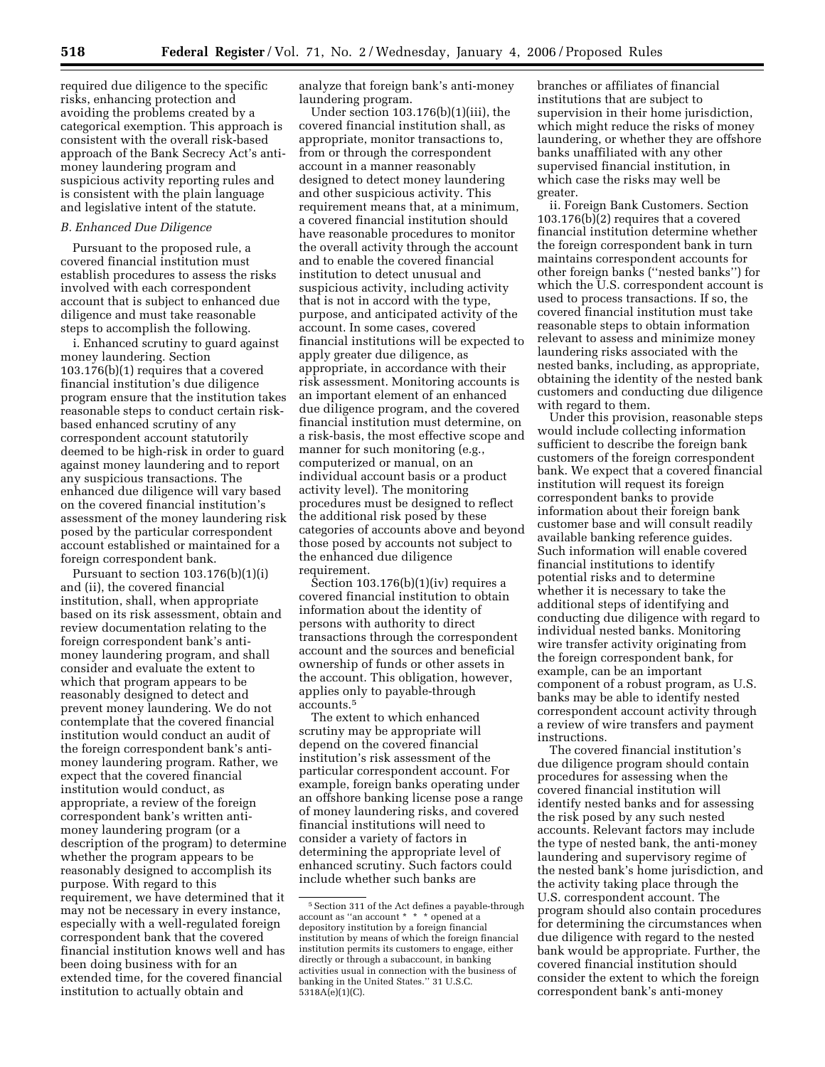required due diligence to the specific risks, enhancing protection and avoiding the problems created by a categorical exemption. This approach is consistent with the overall risk-based approach of the Bank Secrecy Act's antimoney laundering program and suspicious activity reporting rules and is consistent with the plain language and legislative intent of the statute.

## *B. Enhanced Due Diligence*

Pursuant to the proposed rule, a covered financial institution must establish procedures to assess the risks involved with each correspondent account that is subject to enhanced due diligence and must take reasonable steps to accomplish the following.

i. Enhanced scrutiny to guard against money laundering. Section 103.176(b)(1) requires that a covered financial institution's due diligence program ensure that the institution takes reasonable steps to conduct certain riskbased enhanced scrutiny of any correspondent account statutorily deemed to be high-risk in order to guard against money laundering and to report any suspicious transactions. The enhanced due diligence will vary based on the covered financial institution's assessment of the money laundering risk posed by the particular correspondent account established or maintained for a foreign correspondent bank.

Pursuant to section  $103.176(b)(1)(i)$ and (ii), the covered financial institution, shall, when appropriate based on its risk assessment, obtain and review documentation relating to the foreign correspondent bank's antimoney laundering program, and shall consider and evaluate the extent to which that program appears to be reasonably designed to detect and prevent money laundering. We do not contemplate that the covered financial institution would conduct an audit of the foreign correspondent bank's antimoney laundering program. Rather, we expect that the covered financial institution would conduct, as appropriate, a review of the foreign correspondent bank's written antimoney laundering program (or a description of the program) to determine whether the program appears to be reasonably designed to accomplish its purpose. With regard to this requirement, we have determined that it may not be necessary in every instance, especially with a well-regulated foreign correspondent bank that the covered financial institution knows well and has been doing business with for an extended time, for the covered financial institution to actually obtain and

analyze that foreign bank's anti-money laundering program.

Under section 103.176(b)(1)(iii), the covered financial institution shall, as appropriate, monitor transactions to, from or through the correspondent account in a manner reasonably designed to detect money laundering and other suspicious activity. This requirement means that, at a minimum, a covered financial institution should have reasonable procedures to monitor the overall activity through the account and to enable the covered financial institution to detect unusual and suspicious activity, including activity that is not in accord with the type, purpose, and anticipated activity of the account. In some cases, covered financial institutions will be expected to apply greater due diligence, as appropriate, in accordance with their risk assessment. Monitoring accounts is an important element of an enhanced due diligence program, and the covered financial institution must determine, on a risk-basis, the most effective scope and manner for such monitoring (e.g., computerized or manual, on an individual account basis or a product activity level). The monitoring procedures must be designed to reflect the additional risk posed by these categories of accounts above and beyond those posed by accounts not subject to the enhanced due diligence requirement.

Section  $103.176(b)(1)(iv)$  requires a covered financial institution to obtain information about the identity of persons with authority to direct transactions through the correspondent account and the sources and beneficial ownership of funds or other assets in the account. This obligation, however, applies only to payable-through accounts.5

The extent to which enhanced scrutiny may be appropriate will depend on the covered financial institution's risk assessment of the particular correspondent account. For example, foreign banks operating under an offshore banking license pose a range of money laundering risks, and covered financial institutions will need to consider a variety of factors in determining the appropriate level of enhanced scrutiny. Such factors could include whether such banks are

branches or affiliates of financial institutions that are subject to supervision in their home jurisdiction, which might reduce the risks of money laundering, or whether they are offshore banks unaffiliated with any other supervised financial institution, in which case the risks may well be greater.

ii. Foreign Bank Customers. Section 103.176(b)(2) requires that a covered financial institution determine whether the foreign correspondent bank in turn maintains correspondent accounts for other foreign banks (''nested banks'') for which the U.S. correspondent account is used to process transactions. If so, the covered financial institution must take reasonable steps to obtain information relevant to assess and minimize money laundering risks associated with the nested banks, including, as appropriate, obtaining the identity of the nested bank customers and conducting due diligence with regard to them.

Under this provision, reasonable steps would include collecting information sufficient to describe the foreign bank customers of the foreign correspondent bank. We expect that a covered financial institution will request its foreign correspondent banks to provide information about their foreign bank customer base and will consult readily available banking reference guides. Such information will enable covered financial institutions to identify potential risks and to determine whether it is necessary to take the additional steps of identifying and conducting due diligence with regard to individual nested banks. Monitoring wire transfer activity originating from the foreign correspondent bank, for example, can be an important component of a robust program, as U.S. banks may be able to identify nested correspondent account activity through a review of wire transfers and payment instructions.

The covered financial institution's due diligence program should contain procedures for assessing when the covered financial institution will identify nested banks and for assessing the risk posed by any such nested accounts. Relevant factors may include the type of nested bank, the anti-money laundering and supervisory regime of the nested bank's home jurisdiction, and the activity taking place through the U.S. correspondent account. The program should also contain procedures for determining the circumstances when due diligence with regard to the nested bank would be appropriate. Further, the covered financial institution should consider the extent to which the foreign correspondent bank's anti-money

<sup>&</sup>lt;sup>5</sup> Section 311 of the Act defines a payable-through account as ''an account \* \* \* opened at a depository institution by a foreign financial institution by means of which the foreign financial institution permits its customers to engage, either directly or through a subaccount, in banking activities usual in connection with the business of banking in the United States.'' 31 U.S.C. 5318A(e)(1)(C).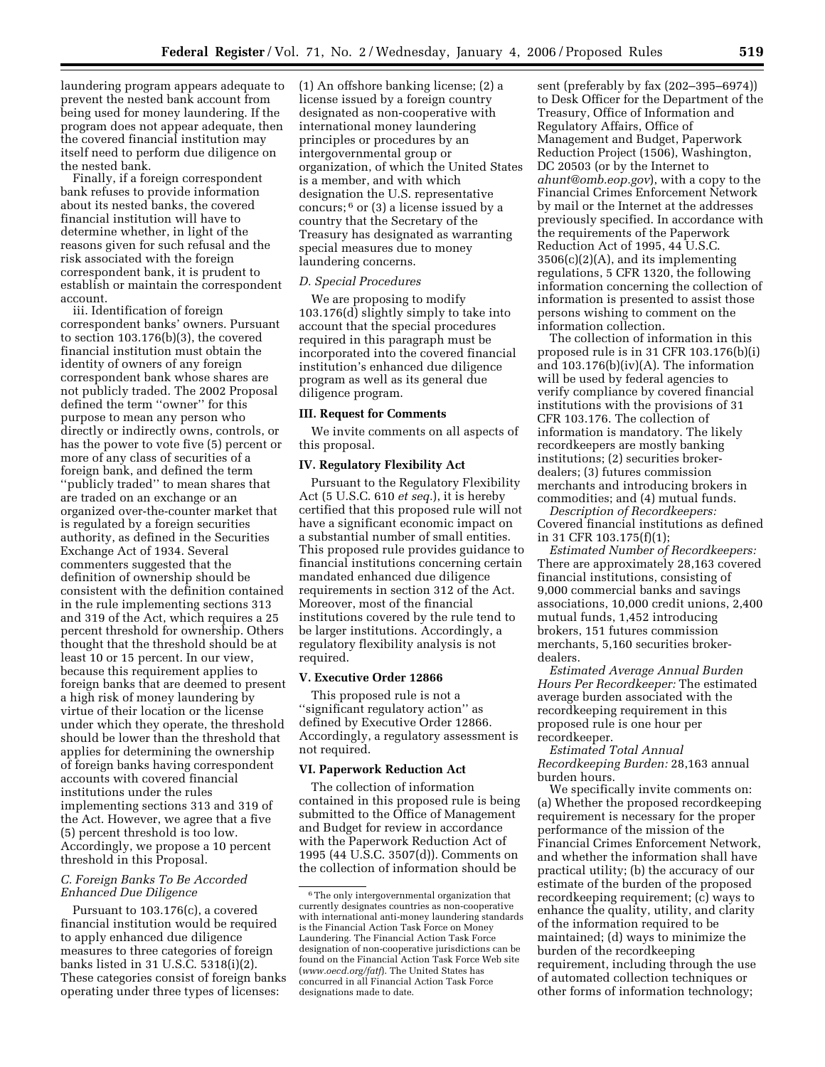laundering program appears adequate to prevent the nested bank account from being used for money laundering. If the program does not appear adequate, then the covered financial institution may itself need to perform due diligence on the nested bank.

Finally, if a foreign correspondent bank refuses to provide information about its nested banks, the covered financial institution will have to determine whether, in light of the reasons given for such refusal and the risk associated with the foreign correspondent bank, it is prudent to establish or maintain the correspondent account.

iii. Identification of foreign correspondent banks' owners. Pursuant to section 103.176(b)(3), the covered financial institution must obtain the identity of owners of any foreign correspondent bank whose shares are not publicly traded. The 2002 Proposal defined the term ''owner'' for this purpose to mean any person who directly or indirectly owns, controls, or has the power to vote five (5) percent or more of any class of securities of a foreign bank, and defined the term ''publicly traded'' to mean shares that are traded on an exchange or an organized over-the-counter market that is regulated by a foreign securities authority, as defined in the Securities Exchange Act of 1934. Several commenters suggested that the definition of ownership should be consistent with the definition contained in the rule implementing sections 313 and 319 of the Act, which requires a 25 percent threshold for ownership. Others thought that the threshold should be at least 10 or 15 percent. In our view, because this requirement applies to foreign banks that are deemed to present a high risk of money laundering by virtue of their location or the license under which they operate, the threshold should be lower than the threshold that applies for determining the ownership of foreign banks having correspondent accounts with covered financial institutions under the rules implementing sections 313 and 319 of the Act. However, we agree that a five (5) percent threshold is too low. Accordingly, we propose a 10 percent threshold in this Proposal.

## *C. Foreign Banks To Be Accorded Enhanced Due Diligence*

Pursuant to 103.176(c), a covered financial institution would be required to apply enhanced due diligence measures to three categories of foreign banks listed in 31 U.S.C. 5318(i)(2). These categories consist of foreign banks operating under three types of licenses:

(1) An offshore banking license; (2) a license issued by a foreign country designated as non-cooperative with international money laundering principles or procedures by an intergovernmental group or organization, of which the United States is a member, and with which designation the U.S. representative concurs; 6 or (3) a license issued by a country that the Secretary of the Treasury has designated as warranting special measures due to money laundering concerns.

#### *D. Special Procedures*

We are proposing to modify 103.176(d) slightly simply to take into account that the special procedures required in this paragraph must be incorporated into the covered financial institution's enhanced due diligence program as well as its general due diligence program.

### **III. Request for Comments**

We invite comments on all aspects of this proposal.

### **IV. Regulatory Flexibility Act**

Pursuant to the Regulatory Flexibility Act (5 U.S.C. 610 *et seq.*), it is hereby certified that this proposed rule will not have a significant economic impact on a substantial number of small entities. This proposed rule provides guidance to financial institutions concerning certain mandated enhanced due diligence requirements in section 312 of the Act. Moreover, most of the financial institutions covered by the rule tend to be larger institutions. Accordingly, a regulatory flexibility analysis is not required.

#### **V. Executive Order 12866**

This proposed rule is not a ''significant regulatory action'' as defined by Executive Order 12866. Accordingly, a regulatory assessment is not required.

### **VI. Paperwork Reduction Act**

The collection of information contained in this proposed rule is being submitted to the Office of Management and Budget for review in accordance with the Paperwork Reduction Act of 1995 (44 U.S.C. 3507(d)). Comments on the collection of information should be

sent (preferably by fax (202–395–6974)) to Desk Officer for the Department of the Treasury, Office of Information and Regulatory Affairs, Office of Management and Budget, Paperwork Reduction Project (1506), Washington, DC 20503 (or by the Internet to *ahunt@omb.eop.gov*), with a copy to the Financial Crimes Enforcement Network by mail or the Internet at the addresses previously specified. In accordance with the requirements of the Paperwork Reduction Act of 1995, 44 U.S.C.  $3506(c)(2)(A)$ , and its implementing regulations, 5 CFR 1320, the following information concerning the collection of information is presented to assist those persons wishing to comment on the information collection.

The collection of information in this proposed rule is in 31 CFR 103.176(b)(i) and 103.176(b)(iv)(A). The information will be used by federal agencies to verify compliance by covered financial institutions with the provisions of 31 CFR 103.176. The collection of information is mandatory. The likely recordkeepers are mostly banking institutions; (2) securities brokerdealers; (3) futures commission merchants and introducing brokers in commodities; and (4) mutual funds.

*Description of Recordkeepers:*  Covered financial institutions as defined in 31 CFR 103.175(f)(1);

*Estimated Number of Recordkeepers:*  There are approximately 28,163 covered financial institutions, consisting of 9,000 commercial banks and savings associations, 10,000 credit unions, 2,400 mutual funds, 1,452 introducing brokers, 151 futures commission merchants, 5,160 securities brokerdealers.

*Estimated Average Annual Burden Hours Per Recordkeeper:* The estimated average burden associated with the recordkeeping requirement in this proposed rule is one hour per recordkeeper.

*Estimated Total Annual Recordkeeping Burden:* 28,163 annual burden hours.

We specifically invite comments on: (a) Whether the proposed recordkeeping requirement is necessary for the proper performance of the mission of the Financial Crimes Enforcement Network, and whether the information shall have practical utility; (b) the accuracy of our estimate of the burden of the proposed recordkeeping requirement; (c) ways to enhance the quality, utility, and clarity of the information required to be maintained; (d) ways to minimize the burden of the recordkeeping requirement, including through the use of automated collection techniques or other forms of information technology;

 $^{\rm 6}$  The only intergovernmental organization that currently designates countries as non-cooperative with international anti-money laundering standards is the Financial Action Task Force on Money Laundering. The Financial Action Task Force designation of non-cooperative jurisdictions can be found on the Financial Action Task Force Web site (*www.oecd.org/fatf*). The United States has concurred in all Financial Action Task Force designations made to date.